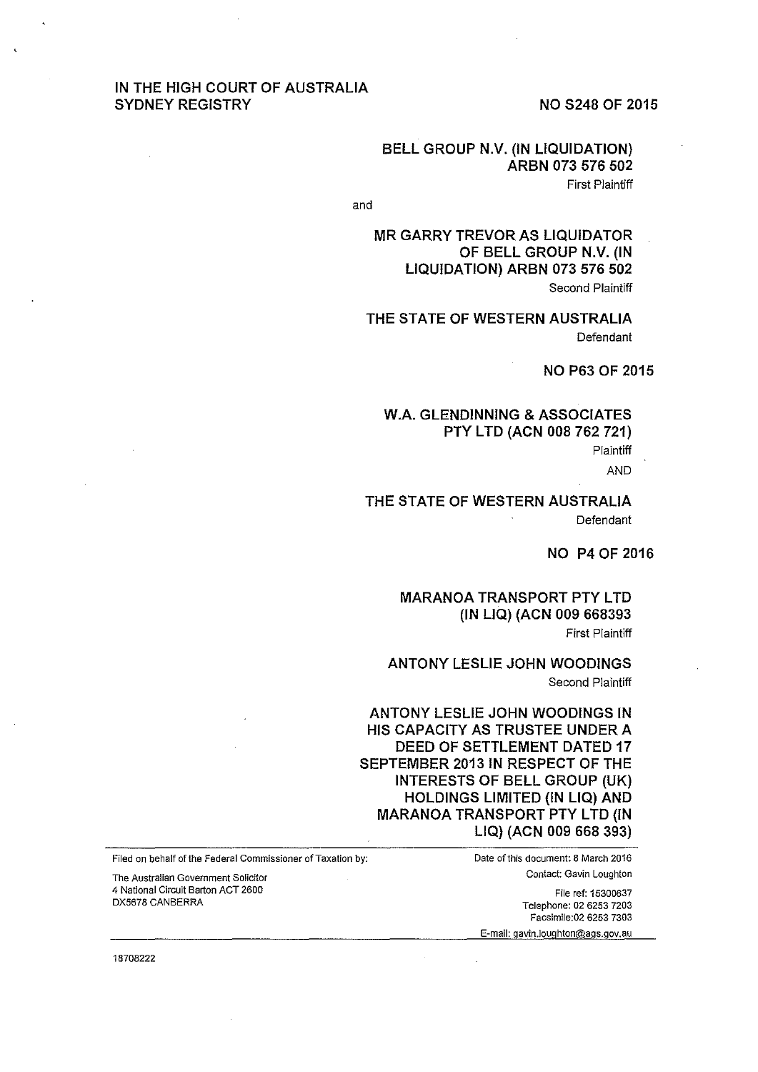# IN THE HIGH COURT OF AUSTRALIA SYDNEY REGISTRY NO S248 OF 2015

## BELL GROUP N.V. (IN LIQUIDATION) ARBN 073 576 502 First Plaintiff

and

MR GARRY TREVOR AS LIQUIDATOR OF BELL GROUP N.V. (IN LIQUIDATION) ARBN 073 576 502 Second Plaintiff

THE STATE OF WESTERN AUSTRALIA Defendant

NO P63 OF 2015

## W.A. GLENDINNING & ASSOCIATES PTY LTD (ACN 008 762 721)

Plaintiff

AND

## THE STATE OF WESTERN AUSTRALIA Defendant

NO P4 OF 2016

#### **MARANOA TRANSPORT PTY LTD** (IN LIQ) (ACN 009 668393 First Plaintiff

ANTONY LESLIE JOHN WOODINGS Second Plaintiff

ANTONY LESLIE JOHN WOODINGS IN HIS CAPACITY AS TRUSTEE UNDER A DEED OF SETTLEMENT DATED 17 SEPTEMBER 2013 IN RESPECT OF THE INTERESTS OF BELL GROUP (UK) HOLDINGS LIMITED (IN LIQ) AND **MARANOA TRANSPORT PTY LTD (IN** LIQ) (ACN 009 668 393)

Contact: Gavin Loughton File ref: 15300637 Telephone: 02 6253 7203 Facsimile:02 6253 7303

E-mail: gavin.Joughton@ags.gov.au

Filed on behalf of the Federal Commissioner of Taxation by: Date of this document: 8 March 2016

The Australian Government Solicitor 4 National Circuit Barton ACT 2600 DX5678 CANBERRA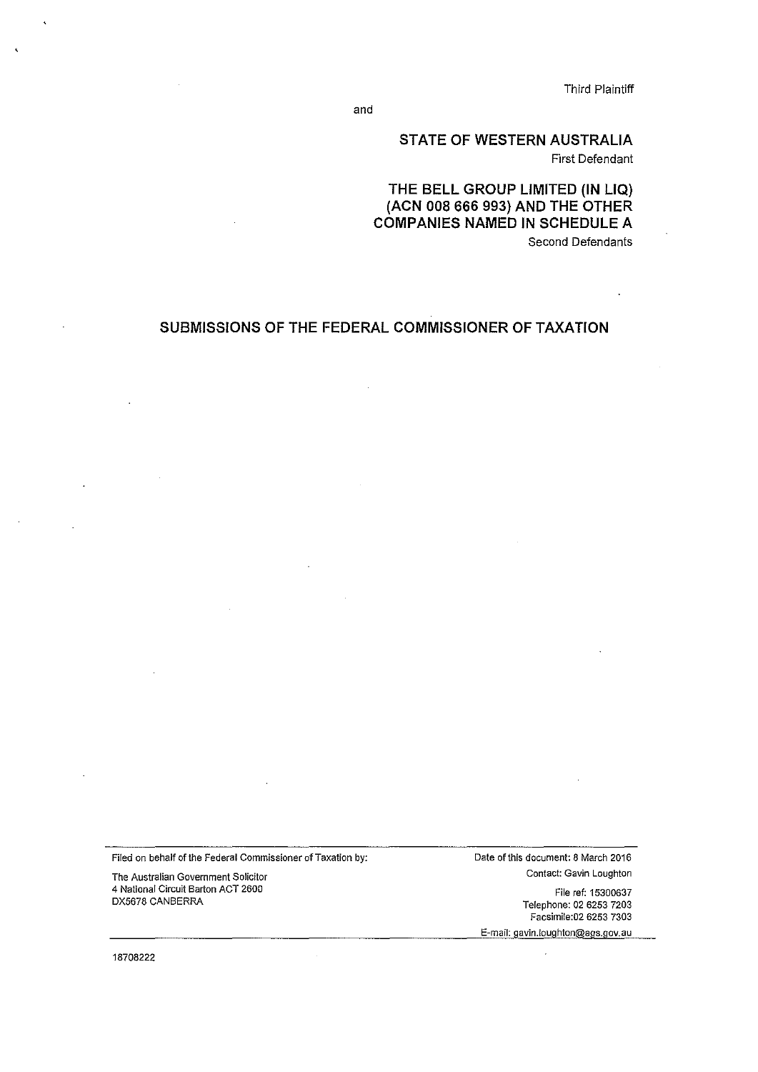Third Plaintiff

and

# STATE OF WESTERN AUSTRALIA First Defendant

THE BELL GROUP LIMITED (IN LIQ) (ACN 008 666 993) AND THE OTHER COMPANIES NAMED IN SCHEDULE A Second Defendants

# SUBMISSIONS OF THE FEDERAL COMMISSIONER OF TAXATION

Filed on behalf of the Federal Commissioner of Taxation by:

The Australian Government Solicitor 4 National Circuit Barton ACT 2600 DX5678 CANBERRA

Date of this document: 8 March 2016 Contact: Gavin Loughton

> File ref: 15300637 Telephone: 02 6253 7203 Facsimi!e:02 6253 7303

E-mail: gavin.loughton@ags.gov.au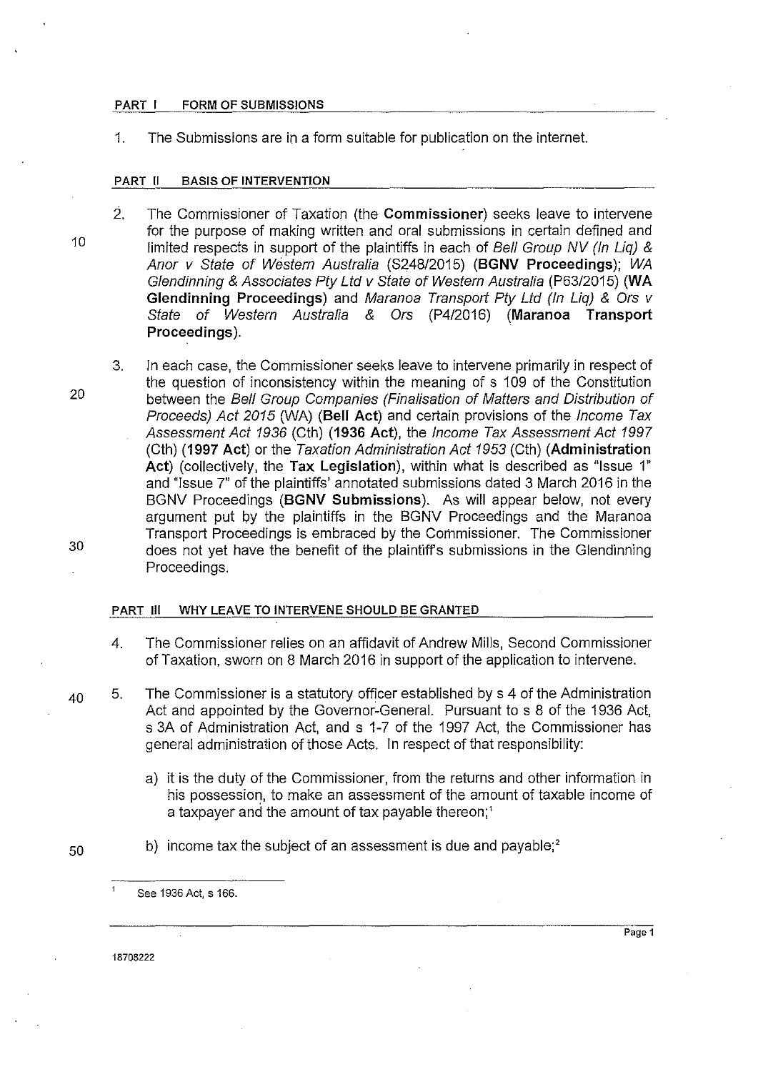#### PART I FORM OF SUBMISSIONS

1. The Submissions are in a form suitable for publication on the internet.

#### PART II BASIS OF INTERVENTION

- 2. The Commissioner of Taxation (the Commissioner) seeks leave to intervene for the purpose of making written and oral submissions in certain defined and limited respects in support of the plaintiffs in each of Bell Group NV (In Liq)  $\&$ Anor v State of Western Australia (S248/2015) (BGNV Proceedings); WA Glendinning & Associates Pty Ltd v State of Western Australia (P63/2015) (WA Glendinning Proceedings) and Maranoa Transport Pty Ltd (In Liq) & Ors v State of Western Australia & Ors (P4/2016) (Maranoa Transport Proceedings).
- 3. In each case, the Commissioner seeks leave to intervene primarily in respect of the question of inconsistency within the meaning of s 109 of the Constitution between the Bell Group Companies (Finalisation of Matters and Distribution of Proceeds) Act 2015 (WA) (Bell Act) and certain provisions of the Income Tax Assessment Act 1936 (Cth) (1936 Act), the Income Tax Assessment Act 1997 (Cth) (1997 Act) or the Taxation Administration Act 1953 (Cth) (Administration Act) (collectively, the Tax Legislation), within what is described as "Issue 1" and "Issue 7" of the plaintiffs' annotated submissions dated 3 March 2016 in the BGNV Proceedings (BGNV Submissions). As will appear below, not every argument put by the plaintiffs in the BGNV Proceedings and the Maranoa Transport Proceedings is embraced by the Commissioner. The Commissioner does not yet have the benefit of the plaintiffs submissions in the Glendinning Proceedings.

#### PART Ill WHY LEAVE TO INTERVENE SHOULD BE GRANTED

- 4. The Commissioner relies on an affidavit of Andrew Mills, Second Commissioner of Taxation, sworn on 8 March 2016 in support of the application to intervene.
- $_{40}$  5. The Commissioner is a statutory officer established by s 4 of the Administration Act and appointed by the Governor-General. Pursuant to s 8 of the 1936 Act, s 3A of Administration Act, and s 1-7 of the 1997 Act, the Commissioner has general administration of those Acts. In respect of that responsibility:
	- a) it is the duty of the Commissioner, from the returns and other information in his possession, to make an assessment of the amount of taxable income of a taxpayer and the amount of tax payable thereon;'
- $50$  b) income tax the subject of an assessment is due and payable;<sup>2</sup>

See 1936 Act, s 166.

18708222

 $\mathbf{1}$ 

20

10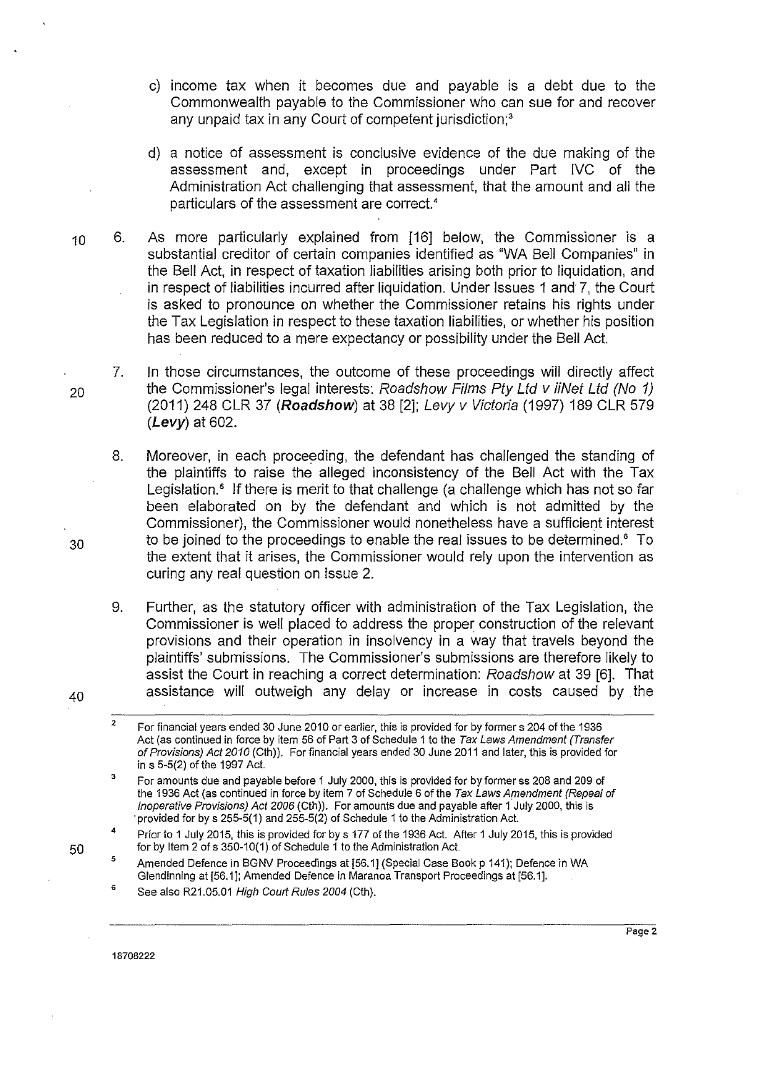- c) income tax when it becomes due and payable is a debt due to the Commonwealth payable to the Commissioner who can sue for and recover any unpaid tax in any Court of competent jurisdiction;<sup>3</sup>
- d) a notice of assessment is conclusive evidence of the due making of the assessment and, except in proceedings under Part IVC of the Administration Act challenging that assessment, that the amount and all the particulars of the assessment are correct.<sup>4</sup>
- 10 6. As more particularly explained from [16] below, the Commissioner is a substantial creditor of certain companies identified as "WA Bell Companies" in the Bell Act, in respect of taxation liabilities arising both prior to liquidation, and in respect of liabilities incurred after liquidation. Under Issues 1 and 7, the Court is asked to pronounce on whether the Commissioner retains his rights under the Tax Legislation in respect to these taxation liabilities, or whether his position has been reduced to a mere expectancy or possibility under the Bell Act.
- 7. In those circumstances, the outcome of these proceedings will directly affect <sub>20</sub> the Commissioner's legal interests: Roadshow Films Pty Ltd v iiNet Ltd (No 1) (2011) 248 CLR 37 **(Roadshow)** at 38 [2]; Levy v Victoria (1997) 189 CLR 579 **(Levy)** at 602.
- 8. Moreover, in each proceeding, the defendant has challenged the standing of the plaintiffs to raise the alleged inconsistency of the Bell Act with the Tax Legislation.<sup>5</sup> If there is merit to that challenge (a challenge which has not so far been elaborated on by the defendant and which is not admitted by the Commissioner), the Commissioner would nonetheless have a sufficient interest  $30$  to be joined to the proceedings to enable the real issues to be determined.<sup>6</sup> To the extent that it arises, the Commissioner would rely upon the intervention as curing any real question on Issue 2.

9. Further, as the statutory officer with administration of the Tax Legislation, the Commissioner is well placed to address the proper construction of the relevant provisions and their operation in insolvency in a way that travels beyond the plaintiffs' submissions. The Commissioner's submissions are therefore likely to assist the Court in reaching a correct determination: Roadshow at 39 [6]. That  $40$  assistance will outweigh any delay or increase in costs caused by the

- 2 3 For financial years ended 30 June 2010 or earlier, this is provided for by formers 204 of the 1936 Act (as continued in force by item 56 of Part 3 of Schedule 1 to the Tax Laws Amendment (Transfer of Provisions) Act 2010 (Cth)). For financial years ended 30 June 2011 and later, this is provided for in s 5-5(2) of the 1997 Act.
- For amounts due and payable before 1 July 2000, this is provided for by former ss 208 and 209 of the 1936 Act (as continued in force by item 7 of Schedule 6 of the Tax Laws Amendment (Repeal of Inoperative Provisions) Act 2006 (Cth)). For amounts due and payable after 1 July 2000, this is ·provided for by s 255-5(1) and 255-5(2) of Schedule 1 to the Administration Act.
- 4 Prior to 1 July 2015, this is provided for by s 177 of the 1936 Act. After 1 July 2015, this is provided for by Item 2 of s 350-10(1) of Schedule 1 to the Administration Act.
- 5 Amended Defence in BGNV Proceedings at [56.1] (Special Case Book p 141); Defence in WA Glendinning at [56.1]; Amended Defence in Maranoa Transport Proceedings at [56.1].
- 6 See also R21.05.01 High Court Rules 2004 (Cth).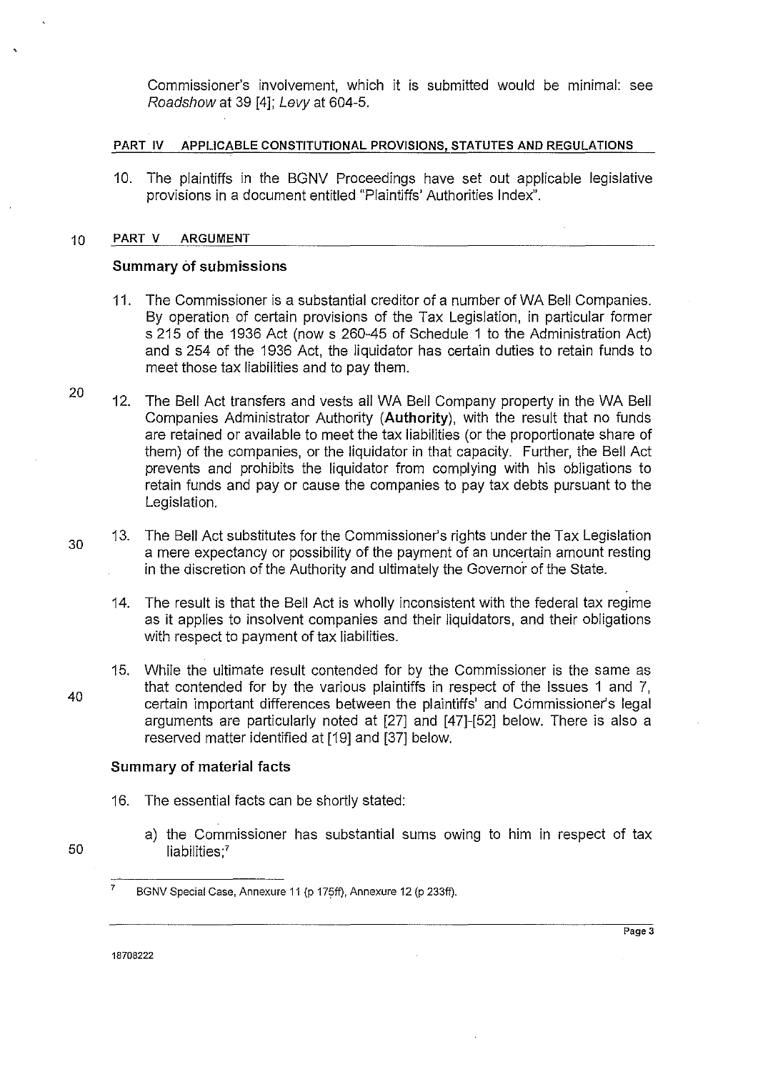Commissioner's involvement, which it is submitted would be minimal: see Roadshow at 39 [4]; Levy at 604-5.

#### **PART IV APPLICABLE CONSTITUTIONAL PROVISIONS, STATUTES AND REGULATIONS**

10. The plaintiffs in the BGNV Proceedings have set out applicable legislative provisions in a document entitled "Plaintiffs' Authorities Index".

#### 10 **PART V ARGUMENT**

#### **Summary of submissions**

- **11.** The Commissioner is a substantial creditor of a number of WA Bell Companies. By operation of certain provisions of the Tax Legislation, in particular former s 215 of the 1936 Act (now s 260-45 of Schedule **1** to the Administration Act) and s 254 of the 1936 Act, the liquidator has certain duties to retain funds to meet those tax liabilities and to pay them.
- 20 12. The Bell Act transfers and vests all WA Bell Company property in the WA Bell Companies Administrator Authority **(Authority),** with the result that no funds are retained or available to meet the tax liabilities (or the proportionate share of them) of the companies, or the liquidator in that capacity. Further, the Bell Act prevents and prohibits the liquidator from complying with his obligations to retain funds and pay or cause the companies to pay tax debts pursuant to the Legislation.
	- 13. The Bell Act substitutes for the Commissioner's rights under the Tax Legislation a mere expectancy or possibility of the payment of an uncertain amount resting in the discretion of the Authority and ultimately the Governor of the State.
		- 14. The result is that the Bell Act is wholly inconsistent with the federal tax regime as **it** applies to insolvent companies and their liquidators, and their obligations with respect to payment of tax liabilities.
	- 15. While the ultimate result contended for by the Commissioner is the same as that contended for by the various plaintiffs in respect of the Issues **1** and 7, certain important differences between the plaintiffs' and Commissioner's legal arguments are particularly noted at [27] and [47]-[52] below. There is also a reserved matter identified at [19] and [37] below.

### **Summary of material facts**

- 16. The essential facts can be shortly stated:
	- a) the Commissioner has substantial sums owing to him in respect of tax liabilities;<sup>7</sup>

18708222

30

40

50

<sup>&</sup>lt;sup>7</sup> BGNV Special Case, Annexure 11 (p 175ff), Annexure 12 (p 233ff).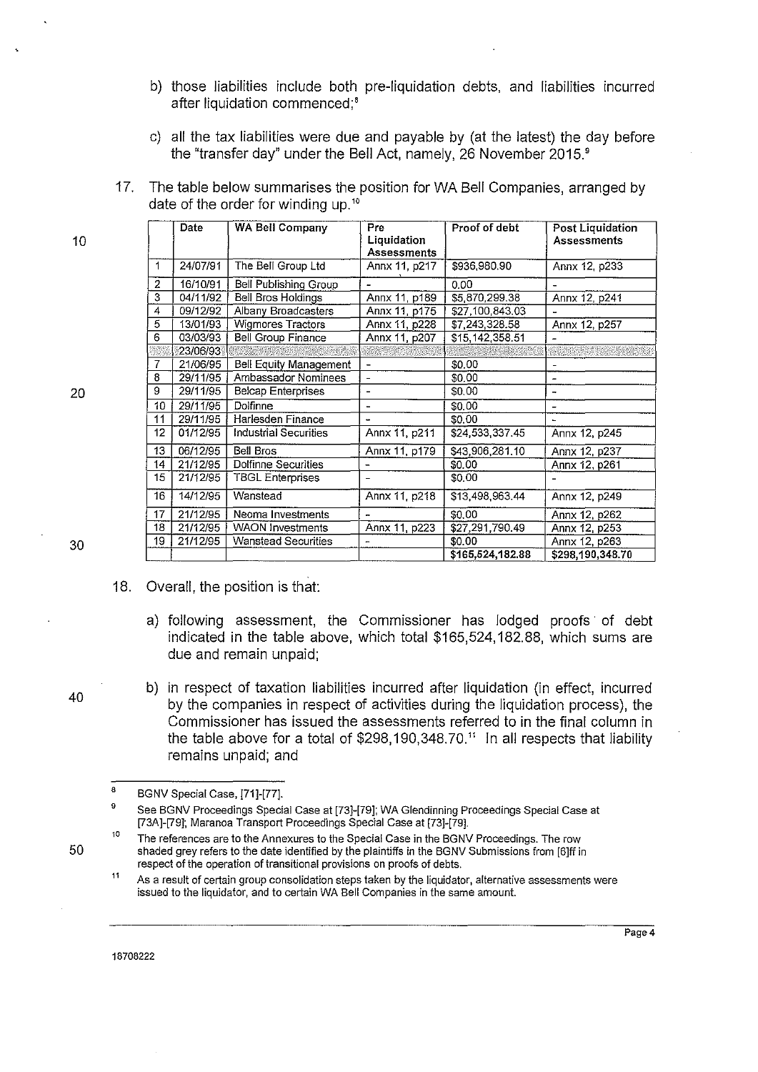- b) those liabilities include both pre-liquidation debts, and liabilities incurred after liquidation commenced;<sup>8</sup>
- c) all the tax liabilities were due and payable by (at the latest) the day before the "transfer day" under the Bell Act, namely, 26 November 2015'
- 17. The table below summarises the position for WA Bell Companies, arranged by date of the order for winding up.<sup>10</sup>

|    | Date     | WA Bell Company               | Pre<br>Liquidation<br><b>Assessments</b> | Proof of debt    | Post Liquidation<br><b>Assessments</b> |
|----|----------|-------------------------------|------------------------------------------|------------------|----------------------------------------|
| 1  | 24/07/91 | The Bell Group Ltd            | Annx 11, p217                            | \$936,980.90     | Annx 12, p233                          |
| 2  | 16/10/91 | <b>Bell Publishing Group</b>  |                                          | 0.00             |                                        |
| 3  | 04/11/92 | <b>Bell Bros Holdings</b>     | Annx 11, p189                            | \$5,870,299.38   | Annx 12, p241                          |
| 4  | 09/12/92 | Albany Broadcasters           | Annx 11, p175                            | \$27,100,843.03  |                                        |
| 5  | 13/01/93 | Wigmores Tractors             | Annx 11, p228                            | \$7,243,328.58   | Annx 12, p257                          |
| 6  | 03/03/93 | <b>Bell Group Finance</b>     | Annx 11, p207                            | \$15,142,358.51  |                                        |
|    | 23/06/93 |                               |                                          |                  |                                        |
| 7  | 21/06/95 | <b>Bell Equity Management</b> |                                          | \$0.00           |                                        |
| 8  | 29/11/95 | Ambassador Nominees           | $\overline{\phantom{0}}$                 | \$0.00           |                                        |
| 9  | 29/11/95 | <b>Belcap Enterprises</b>     |                                          | \$0,00           |                                        |
| 10 | 29/11/95 | Dolfinne                      | Ē.                                       | \$0.00           |                                        |
| 11 | 29/11/95 | Harlesden Finance             |                                          | \$0.00           |                                        |
| 12 | 01/12/95 | Industrial Securities         | Annx 11, p211                            | \$24,533,337.45  | Annx 12, p245                          |
| 13 | 06/12/95 | <b>Bell Bros</b>              | Annx 11, p179                            | \$43,906,281.10  | Annx 12, p237                          |
| 14 | 21/12/95 | Dolfinne Securities           |                                          | \$0.00           | Annx 12, p261                          |
| 15 | 21/12/95 | <b>TBGL Enterprises</b>       |                                          | \$0.00           |                                        |
| 16 | 14/12/95 | Wanstead                      | Annx 11, p218                            | \$13,498,963.44  | Annx 12, p249                          |
| 17 | 21/12/95 | Neoma Investments             |                                          | \$0.00           | Annx 12, p262                          |
| 18 | 21/12/95 | <b>WAON Investments</b>       | Annx 11, p223                            | \$27,291,790.49  | Annx 12, p253                          |
| 19 | 21/12/95 | <b>Wanstead Securities</b>    |                                          | \$0.00           | Annx 12, p263                          |
|    |          |                               |                                          | \$165,524,182.88 | \$298,190,348.70                       |

30

10

20

18. Overall, the position is that:

- a) following assessment, the Commissioner has lodged proofs of debt indicated in the table above, which total \$165,524,182.88, which sums are due and remain unpaid;
- b) in respect of taxation liabilities incurred after liquidation (in effect, incurred by the companies in respect of activities during the liquidation process), the Commissioner has issued the assessments referred to in the final column in the table above for a total of  $$298,190,348.70<sup>11</sup>$  In all respects that liability remains unpaid; and

**As a result of certain group consolidation steps taken by the liquidator, alternative assessments were issued to the liquidator, and to certain WA Bell Companies in the same amount.** 

40

<sup>8</sup>  BGNV Special Case, [71]-[77].

<sup>9</sup>  See BGNV Proceedings Special Case at [73]-[79]; WA Glendinning Proceedings Special Case at [73A]-[79]; Maranoa Transport Proceedings Special Case at [73]-[79].

<sup>10</sup>  **The references are to the Annexures to the Special Case in the BGNV Proceedings. The row**  shaded grey refers to the date identified by the plaintiffs in the BGNV Submissions from [6]ff in **respect of the operation of transitional provisions on proofs of debts.**   $11$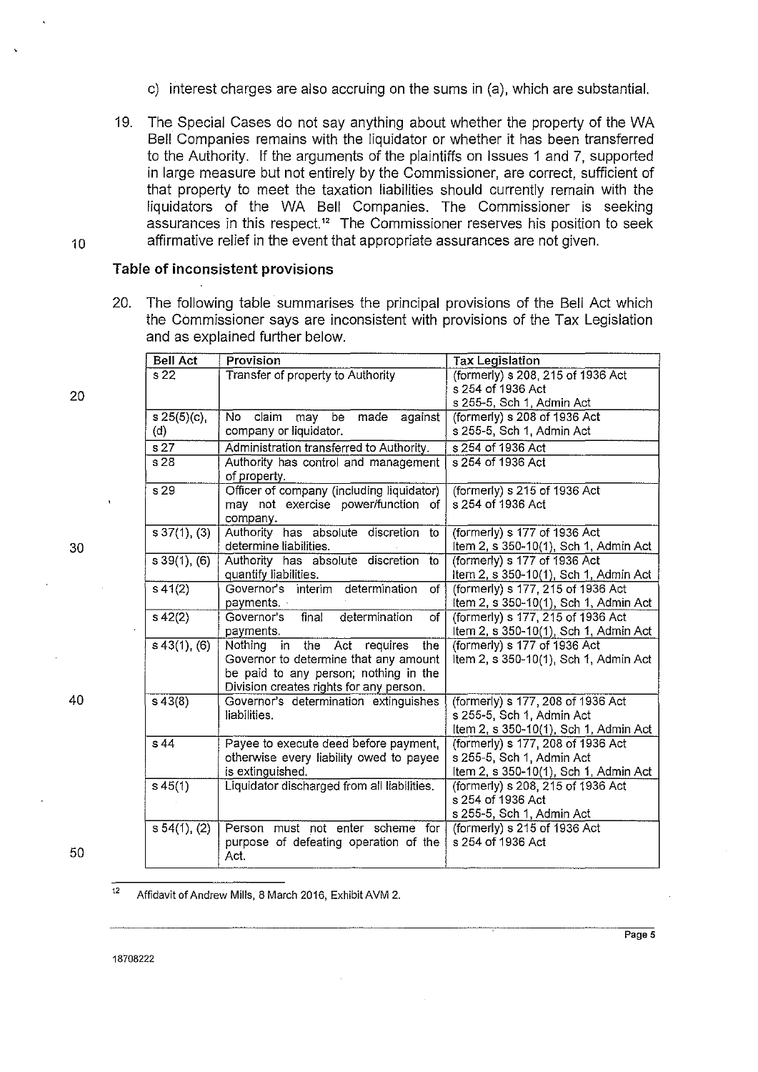- c) interest charges are also accruing on the sums in (a), which are substantial.
- 19. The Special Cases do not say anything about whether the property of the WA Bell Companies remains with the liquidator or whether it has been transferred to the Authority. If the arguments of the plaintiffs on Issues 1 and 7, supported in large measure but not entirely by the Commissioner, are correct, sufficient of that property to meet the taxation liabilities should currently remain with the liquidators of the WA Bell Companies. The Commissioner is seeking assurances in this respect." The Commissioner reserves his position to seek 10 affirmative relief in the event that appropriate assurances are not given.

#### **Table of inconsistent provisions**

20. The following table summarises the principal provisions of the Bell Act which the Commissioner says are inconsistent with provisions of the Tax Legislation and as explained further below.

| <b>Bell Act</b>      | Provision                                               | <b>Tax Legislation</b>                |  |
|----------------------|---------------------------------------------------------|---------------------------------------|--|
| s 22                 | Transfer of property to Authority                       | (formerly) s 208, 215 of 1936 Act     |  |
|                      |                                                         | s 254 of 1936 Act                     |  |
|                      |                                                         | s 255-5, Sch 1, Admin Act             |  |
| s 25(5)(c)           | claim<br>made against<br>No l<br>may be                 | (formerly) s 208 of 1936 Act          |  |
| (d)                  | company or liquidator.                                  | s 255-5, Sch 1, Admin Act             |  |
| s <sub>27</sub>      | Administration transferred to Authority.                | s 254 of 1936 Act                     |  |
| s 28                 | Authority has control and management<br>of property.    | s 254 of 1936 Act                     |  |
| $\overline{s29}$     | Officer of company (including liquidator)               | (formerly) s 215 of 1936 Act          |  |
|                      | may not exercise power/function of<br>company.          | s 254 of 1936 Act                     |  |
| s 37(1), (3)         | Authority has absolute discretion<br>to                 | (formerly) s 177 of 1936 Act          |  |
|                      | determine liabilities.                                  | Item 2, s 350-10(1), Sch 1, Admin Act |  |
| s39(1), (6)          | Authority has absolute discretion<br>to                 | (formerly) s 177 of 1936 Act          |  |
|                      | quantify liabilities.                                   | Item 2, s 350-10(1), Sch 1, Admin Act |  |
| $s\,41(2)$           | Governor's interim determination<br>of                  | (formerly) s 177, 215 of 1936 Act     |  |
|                      | payments.                                               | Item 2, s 350-10(1), Sch 1, Admin Act |  |
| $s\,42(2)$           | final<br>Governor's<br>determination<br>$\overline{of}$ | (formerly) s 177, 215 of 1936 Act     |  |
|                      | payments.                                               | Item 2, s 350-10(1), Sch 1, Admin Act |  |
| $s\,43(1), (6)$      | in the Act requires<br>the<br>Nothing                   | (formerly) s 177 of 1936 Act          |  |
|                      | Governor to determine that any amount                   | Item 2, s 350-10(1), Sch 1, Admin Act |  |
|                      | be paid to any person; nothing in the                   |                                       |  |
|                      | Division creates rights for any person.                 |                                       |  |
| $s\,43(8)$           | Governor's determination extinguishes                   | (formerly) s 177, 208 of 1936 Act     |  |
|                      | liabilities.                                            | s 255-5, Sch 1, Admin Act             |  |
|                      |                                                         | Item 2, s 350-10(1), Sch 1, Admin Act |  |
| s 44                 | Payee to execute deed before payment,                   | (formerly) s 177, 208 of 1936 Act     |  |
|                      | otherwise every liability owed to payee                 | s 255-5, Sch 1, Admin Act             |  |
|                      | is extinguished.                                        | Item 2, s 350-10(1), Sch 1, Admin Act |  |
| $s\,45(1)$           | Liquidator discharged from all liabilities.             | (formerly) s 208, 215 of 1936 Act     |  |
|                      |                                                         | s 254 of 1936 Act                     |  |
|                      |                                                         | s 255-5, Sch 1, Admin Act             |  |
| $\sqrt{54(1)}$ , (2) | Person must not enter scheme for                        | (formerly) $s$ 215 of 1936 Act        |  |
|                      | purpose of defeating operation of the<br>Act.           | s 254 of 1936 Act                     |  |
|                      |                                                         |                                       |  |

20

30

40

50

 $12$ Affidavit of Andrew Mills, 8 March 2016, Exhibit AVM 2.

18708222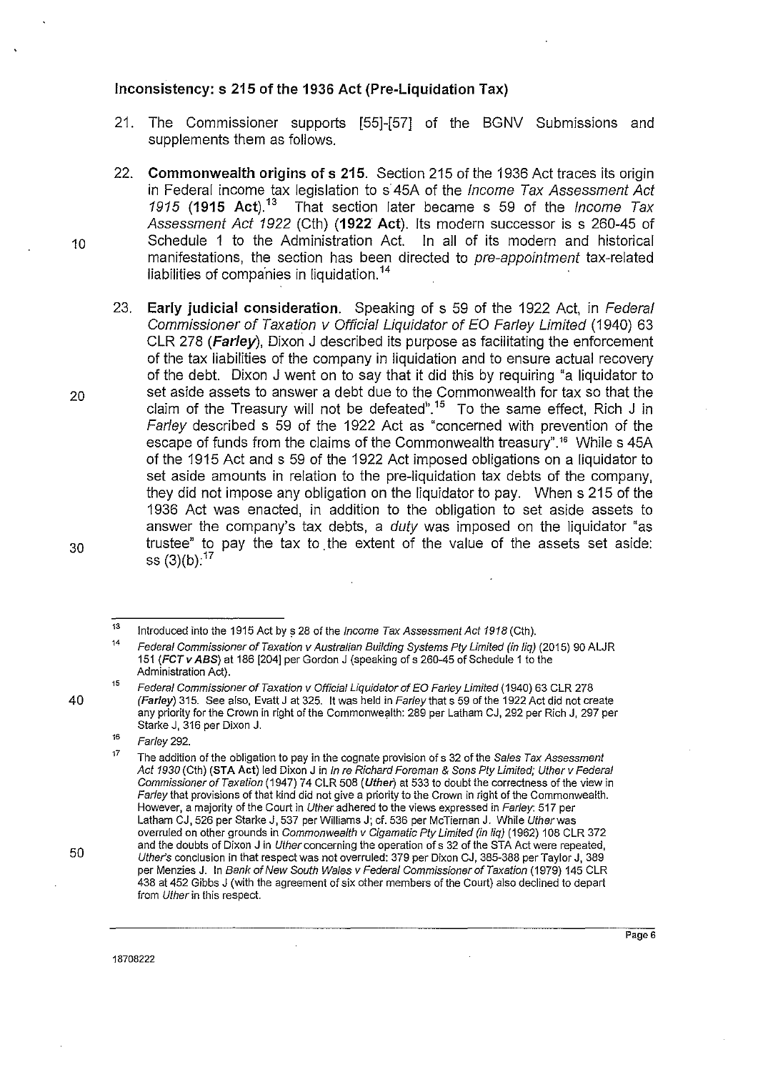## **Inconsistency: s 215 of the 1936 Act (Pre-Liquidation Tax)**

- 21. The Commissioner supports [55]-[57] of the BGNV Submissions and supplements them as follows.
- 22. **Commonwealth origins of s 215.** Section 215 of the 1936 Act traces its origin in Federal income tax legislation to s'45A of the Income Tax Assessment Act 1915 **(1915 Act). <sup>13</sup>**That section later became s 59 of the Income Tax Assessment Act 1922 (Cth) **(1922 Act).** Its modern successor is s 260-45 of Schedule 1 to the Administration Act. In all of its modern and historical manifestations, the section has been directed to pre-appointment tax-related liabilities of companies in liquidation.<sup>14</sup>
- 23. **Early judicial consideration.** Speaking of s 59 of the 1922 Act, in Federal Commissioner of Taxation v Official Liquidator of EO Farley Limited (1940) 63 CLR 278 **(Farley),** Dixon J described its purpose as facilitating the enforcement of the tax liabilities of the company in liquidation and to ensure actual recovery of the debt. Dixon J went on to say that it did this by requiring "a liquidator to set aside assets to answer a debt due to the Commonwealth for tax so that the claim of the Treasury will not be defeated<sup>6</sup>.<sup>15</sup> To the same effect, Rich J in Farley described s 59 of the 1922 Act as "concerned with prevention of the escape of funds from the claims of the Commonwealth treasury".<sup>16</sup> While s 45A of the 1915 Act and s 59 of the 1922 Act imposed obligations on a liquidator to set aside amounts in relation to the pre-liquidation tax debts of the company, they did not impose any obligation on the liquidator to pay. When s 215 of the 1936 Act was enacted, in addition to the obligation to set aside assets to answer the company's tax debts, a *duty* was imposed on the liquidator "as trustee" to pay the tax to the extent of the value of the assets set aside: ss (3)(b):<sup>17</sup>

16 Farley 292.

10

30

40

20

50

<sup>13</sup>  Introduced into the 1915 Act by s 28 of the *Income Tax Assessment Act 1918* (Cth).

<sup>14</sup>  Federal Commissioner of Taxation v Australian Building Systems Ply Limited (in liq) (2015) 90 ALJR 151 (FCT v ABS) at 186 [204] per Gordon J (speaking of s 260-45 of Schedule 1 to the Administration Act).

 $15$ Federal Commissioner of Taxation v Official Liquidator of EO Farley Limited (1940) 63 CLR 278 (Farley) 315. See also, Evatt J at 325. lt was held in Far/ey that s 59 of the 1922 Act did not create any priority for the Crown in right of the Commonwealth: 289 per Latham CJ, 292 per Rich J, 297 per Starke J, 316 per Dixon J.

<sup>17</sup>  **The addition of the obligation to pay in the cognate provision ofs 32 of the Sales Tax Assessment**  Act 1930 (Cth) (STA Act) led Dixon J in In re Richard Foreman & Sons Ply Limited; Uther v Federal Commissioner of Taxation (1947) 74 CLR 508 (Uther) at 533 to doubt the correctness of the view in Farley that provisions of that kind did not give a priority to the Crown in right of the Commonwealth. **However, a majority of the Court in Uther adhered to the views expressed in Farley: 517 per**  Latham CJ, 526 per Starke J, 537 per Williams J; cf. 536 per McTiernan J. While Utherwas overruled on other grounds in Commonwealth v Cigamatic Pty Limited (in liq) (1962) 108 CLR 372 and the doubts of Dixon J in Uther concerning the operation of s 32 of the STA Act were repeated, Uther's conclusion in that respect was not overruled: 379 per Dixon CJ, 385-388 per Taylor J, 389 per Menzies J. In Bank of New South Wales v Federal Commissioner of Taxation (1979) 145 CLR 438 at 452 Gibbs J (with the agreement of six other members of the Court) also declined to depart **from Uther in this respect.**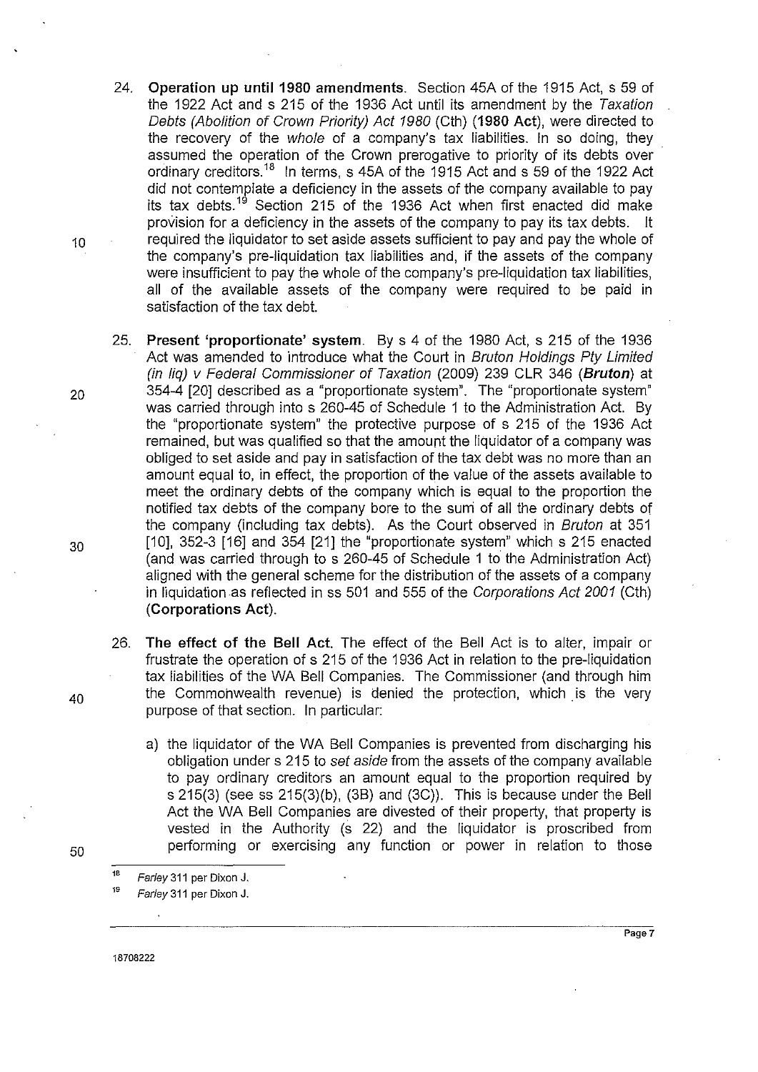- 24. **Operation up until 1980 amendments.** Section 45A of the 1915 Act, s 59 of the 1922 Act and s 215 of the 1936 Act until its amendment by the Taxation Debts (Abolition of Crown Priority) Act 1980 (Cth) **(1980 Act),** were directed to the recovery of the whole of a company's tax liabilities. In so doing, they assumed the operation of the Crown prerogative to priority of its debts over ordinary creditors.<sup>18</sup> In terms, s 45A of the 1915 Act and s 59 of the 1922 Act did not contemplate a deficiency in the assets of the company available to pay its tax debts.<sup>19</sup> Section 215 of the 1936 Act when first enacted did make provision for a deficiency in the assets of the company to pay its tax debts. it 10 required the liquidator to set aside assets sufficient to pay and pay the whole of the company's pre-liquidation tax liabilities and, if the assets of the company were insufficient to pay the whole of the company's pre-liquidation tax liabilities, all of the available assets of the company were required to be paid in satisfaction of the tax debt.
- 25. **Present 'proportionate' system.** By s 4 of the 1980 Act, s 215 of the 1936 Act was amended to introduce what the Court in Bruton Holdings Pty Limited (in liq) v Federal Commissioner of Taxation (2009) 239 CLR 346 **(Bruton)** at <sup>20</sup>354-4 [20] described as a "proportionate system". The "proportionate system" was carried through into s 260-45 of Schedule 1 to the Administration Act. By the "proportionate system" the protective purpose of s 215 of the 1936 Act remained, but was qualified so that the amount the liquidator of a company was obliged to set aside and pay in satisfaction of the tax debt was no more than an amount equal to, in effect, the proportion of the value of the assets available to meet the ordinary debts of the company which is equal to the proportion the notified tax debts of the company bore to the suni of all the ordinary debts of the company (including tax debts). As the Court observed in Bruton at 351  $30$  [10], 352-3 [16] and 354 [21] the "proportionate system" which s 215 enacted (and was carried through to s 260-45 of Schedule 1 to the Administration Act) aligned with the general scheme for the distribution of the assets of a company in liquidation as reflected in ss 501 and 555 of the Corporations Act 2001 (Cth) **(Corporations Act).** 
	- 26. **The effect of the Bell Act.** The effect of the Bell Act is to alter, impair or frustrate the operation of s 215 of the 1936 Act in relation to the pre-liquidation tax liabilities of the WA Bell Companies. The Commissioner (and through him the Commonwealth revenue) is denied the protection, which is the very purpose of that section. In particular:
		- a) the liquidator of the WA Bell Companies is prevented from discharging his obligation under s 215 to set aside from the assets of the company available to pay ordinary creditors an amount equal to the proportion required by s 215(3) (see ss 215(3)(b), (3B) and (3C)). This is because under the Bell Act the WA Bell Companies are divested of their property, that property is vested in the Authority (s 22) and the liquidator is proscribed from performing or exercising any function or power in relation to those

40

50

18708222

<sup>&</sup>lt;sup>18</sup> Farley 311 per Dixon J.

Farley 311 per Dixon J.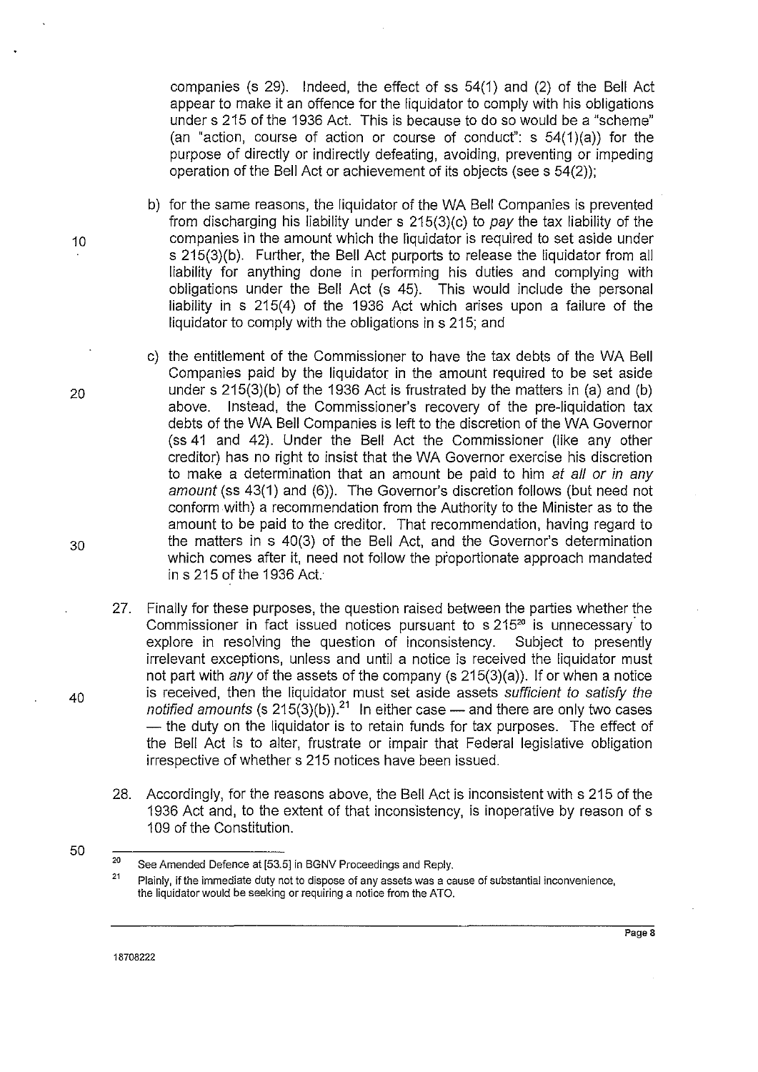companies (s 29). Indeed, the effect of ss 54(1) and (2) of the Bell Act appear to make it an offence for the liquidator to comply with his obligations under s 215 of the 1936 Act. This is because to do so would be a "scheme" (an "action, course of action or course of conduct":  $s$  54(1)(a)) for the purpose of directly or indirectly defeating, avoiding, preventing or impeding operation of the Bell Act or achievement of its objects (sees 54(2));

- b) for the same reasons, the liquidator of the WA Bell Companies is prevented from discharging his liability under s 215(3)(c) to pay the tax liability of the 10 companies in the amount which the liquidator is required to set aside under s 215(3)(b). Further, the Bell Act purports to release the liquidator from all liability for anything done in performing his duties and complying with obligations under the Bell Act (s 45). This would include the personal liability in s 215(4) of the 1936 Act which arises upon a failure of the liquidator to comply with the obligations in s 215; and
- c) the entitlement of the Commissioner to have the tax debts of the WA Bell Companies paid by the liquidator in the amount required to be set aside 20 under s 215(3)(b) of the 1936 Act is frustrated by the matters in (a) and (b) above. Instead, the Commissioner's recovery of the pre-liquidation tax debts of the WA Bell Companies is left to the discretion of the WA Governor (ss 41 and 42). Under the Bell Act the Commissioner (like any other creditor) has no right to insist that the WA Governor exercise his discretion to make a determination that an amount be paid to him at all or in any amount (ss 43(1) and (6)). The Governor's discretion follows (but need not conform with) a recommendation frorn the Authority to the Minister as to the amount to be paid to the creditor. That recommendation, having regard to 30 the matters in s 40(3) of the Bell Act, and the Governor's determination which comes after it, need not follow the proportionate approach mandated ins 215 of the 1936 Act.
	- 27. Finally for these purposes, the question raised between the parties whether the Commissioner in fact issued notices pursuant to  $s$  215 $^{20}$  is unnecessary to explore in resolving the question of inconsistency. Subject to presently irrelevant exceptions, unless and until a notice is received the liquidator must not part with any of the assets of the company (s  $215(3)(a)$ ). If or when a notice is received, then the liquidator must set aside assets sufficient to satisfy the notified amounts (s  $215(3)(b)$ ).<sup>21</sup> In either case — and there are only two cases - the duty on the liquidator is to retain funds for tax purposes. The effect of the Bell Act is to alter, frustrate or impair that Federal legislative obligation irrespective of whether s 215 notices have been issued.
	- 28. Accordingly, for the reasons above, the Bell Act is inconsistent with s 215 of the 1936 Act and, to the extent of that inconsistency, is inoperative by reason of s 109 of the Constitution.
- 50

20 See Amended Defence at [53.5] in BGNV Proceedings and Reply.

<sup>21</sup>  **Plainly, if the immediate duty not to dispose of any assets was a cause of substantial inconvenience, the liquidator would be seeking or requiring a notice from the ATO.**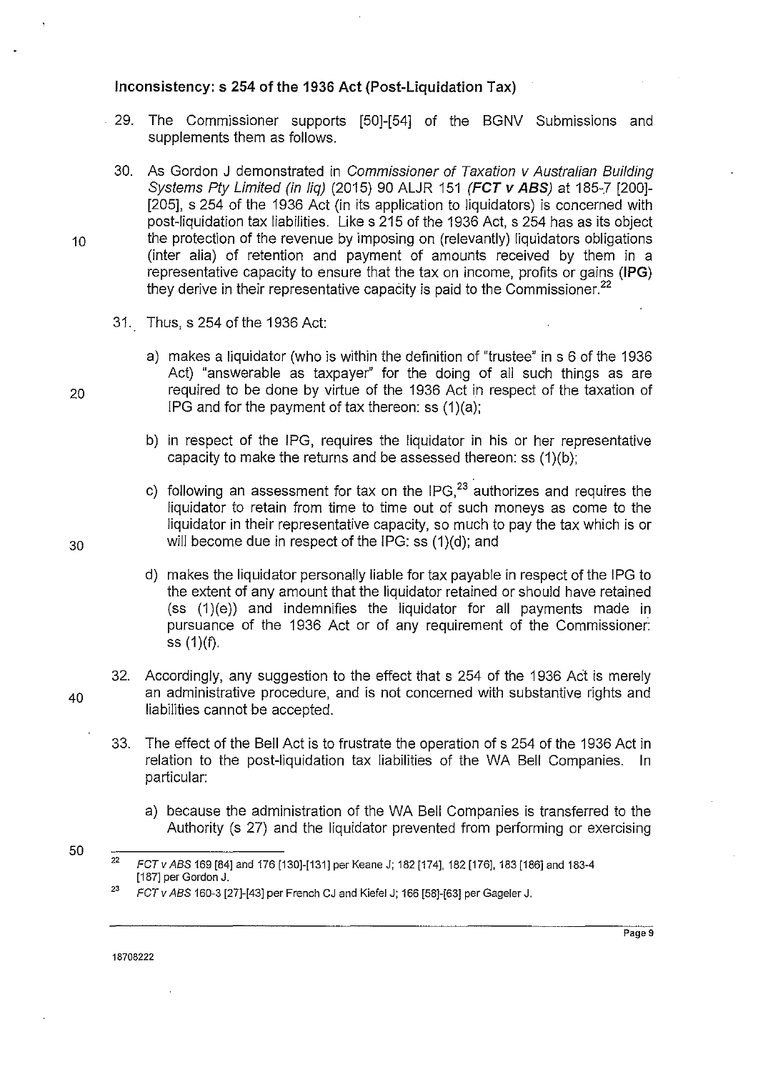#### **Inconsistency: s 254 of the 1936 Act (Post-Liquidation Tax)**

- . 29. The Commissioner supports [50]-[54] of the BGNV Submissions and supplements them as follows.
- 30. As Gordon J demonstrated in Commissioner of Taxation v Australian Building Systems Pty Limited (in lig) (2015) 90 ALJR 151 (FCT *v ABS*) at 185-7 [200]-[205], s 254 of the 1936 Act (in its application to liquidators) is concerned with post-liquidation tax liabilities. Likes 215 of the 1936 Act, s 254 has as its object 10 the protection of the revenue by imposing on (relevantly) liquidators obligations (inter alia) of retention and payment of amounts received by them in a representative capacity to ensure that the tax on income, profits or gains **(IPG)** they derive in their representative capacity is paid to the Commissioner.<sup>22</sup>
	- 31. Thus, s 254 of the 1936 Act:
- a) makes a liquidator (who is within the definition of "trustee" in s 6 of the 1936 Act) "answerable as taxpayer'' for the doing of all such things as are 20 required to be done by virtue of the 1936 Act in respect of the taxation of IPG and for the payment of tax thereon: ss  $(1)(a)$ :
	- b) in respect of the IPG, requires the liquidator in his or her representative capacity to make the returns and be assessed thereon: ss  $(1)(b)$ ;
- c) following an assessment for tax on the IPG, $^{23}$  authorizes and requires the liquidator to retain from time to time out of such moneys as come to the liquidator in their representative capacity, so much to pay the tax which is or 30 will become due in respect of the IPG: ss (1)(d); and
	- d) makes the liquidator personally liable for tax payable in respect of the IPG to the extent of any amount that the liquidator retained or should have retained  $(ss(1)(e))$  and indemnifies the liquidator for all payments made in pursuance of the 1936 Act or of any requirement of the Commissioner: ss (1)(f).
- 32. Accordingly, any suggestion to the effect that s 254 of the 1936 Act is merely  $40$  an administrative procedure, and is not concerned with substantive rights and liabilities cannot be accepted.
	- 33. The effect of the Bell Act is to frustrate the operation of s 254 of the 1936 Act in relation to the post-liquidation tax liabilities of the WA Bell Companies. In particular:
		- a) because the administration of the WA Bell Companies is transferred to the Authority (s 27) and the liquidator prevented from performing or exercising
	- 22 FCTv ABS 169 [84] and 176 [130]-[131] per Keane J; 182 [174], 182 [176], 183 [186] and 183-4 [187] per Garden J.

18708222

<sup>23</sup> FCT v ABS 160-3 [27]-[43] per French CJ and Kiefel J; 166 [58]-[63] per Gageler J.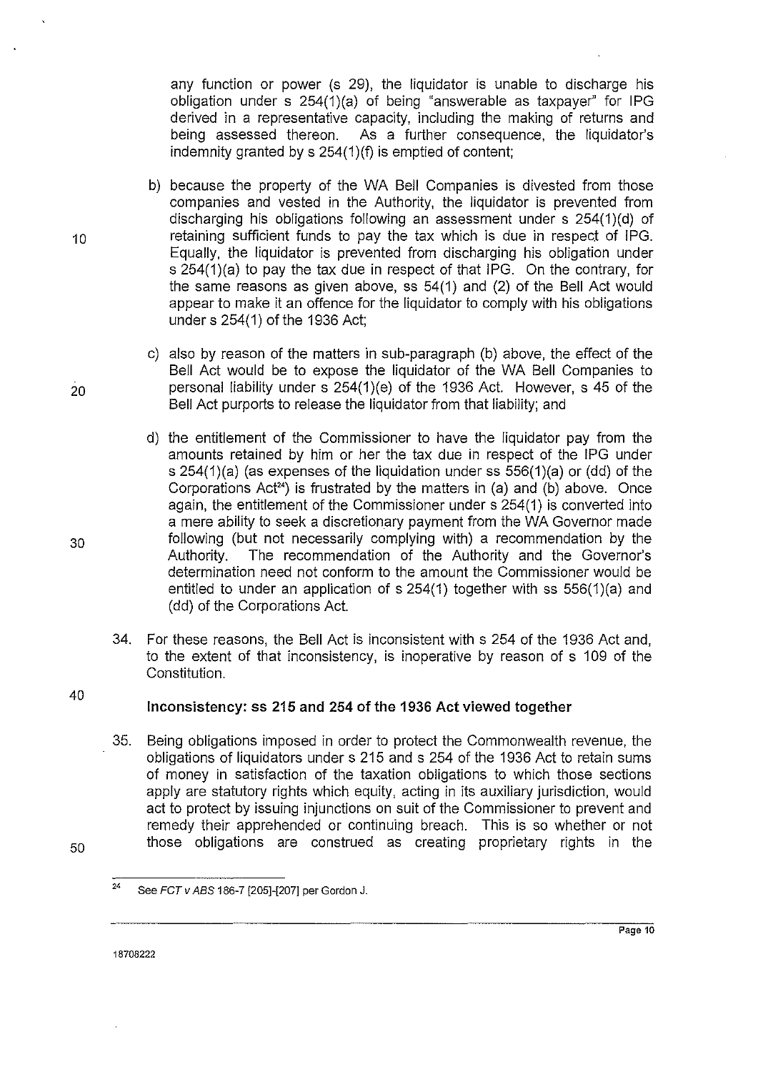any function or power (s 29), the liquidator is unable to discharge his obligation under s 254(1)(a) of being "answerable as taxpayer" for IPG derived in a representative capacity, including the making of returns and being assessed thereon. As a further consequence, the liquidator's As a further consequence, the liquidator's indemnity granted by s 254(1)(f) is emptied of content;

- b) because the property of the WA Bell Companies is divested from those companies and vested in the Authority, the liquidator is prevented from discharging his obligations following an assessment under s 254(1){d) of 10 **retaining sufficient funds to pay the tax which is due in respect of IPG.** Equally, the liquidator is prevented from discharging his obligation under s 254(1)(a) to pay the tax due in respect of that IPG. On the contrary, for the same reasons as given above, ss 54(1) and (2) of the Bell Act would appear to make it an offence for the liquidator to comply with his obligations under s 254( **1)** of the 1936 Act;
- c) also by reason of the matters in sub-paragraph (b) above, the effect of the Bell Act would be to expose the liquidator of the WA Bell Companies to  $20$  personal liability under s 254(1)(e) of the 1936 Act. However, s 45 of the Bell Act purports to release the liquidator from that liability; and
- d) the entitlement of the Commissioner to have the liquidator pay from the amounts retained by him or her the tax due in respect of the IPG under s 254(1)(a) (as expenses of the liquidation under ss 556(1)(a) or (dd) of the Corporations Act<sup>24</sup>) is frustrated by the matters in (a) and (b) above. Once again, the entitlement of the Commissioner under s 254(1) is converted into a mere ability to seek a discretionary payment from the WA Governor made 30 **10** following (but not necessarily complying with) a recommendation by the<br>Authority. The recommendation of the Authority and the Governor's The recommendation of the Authority and the Governor's determination need not conform to the amount the Commissioner would be entitled to under an application of s 254(1) together with ss 556(1)(a) and (dd) of the Corporations Act.
	- 34. For these reasons, the Bell Act is inconsistent with s 254 of the 1936 Act and, to the extent of that inconsistency, is inoperative by reason of s 109 of the Constitution.

#### **Inconsistency: ss 215 and 254 of the 1936 Act viewed together**

35. Being obligations imposed in order to protect the Commonwealth revenue, the obligations of liquidators under s 215 and s 254 of the 1936 Act to retain sums of money **in** satisfaction of the taxation obligations to which those sections apply are statutory rights which equity, acting in its auxiliary jurisdiction, would act to protect by issuing injunctions on suit of the Commissioner to prevent and remedy their apprehended or continuing breach. This is so whether or not those obligations are construed as creating proprietary rights in the

40

<sup>&</sup>lt;sup>24</sup> See *FCT v ABS* 186-7 [205]-[207] per Gordon J.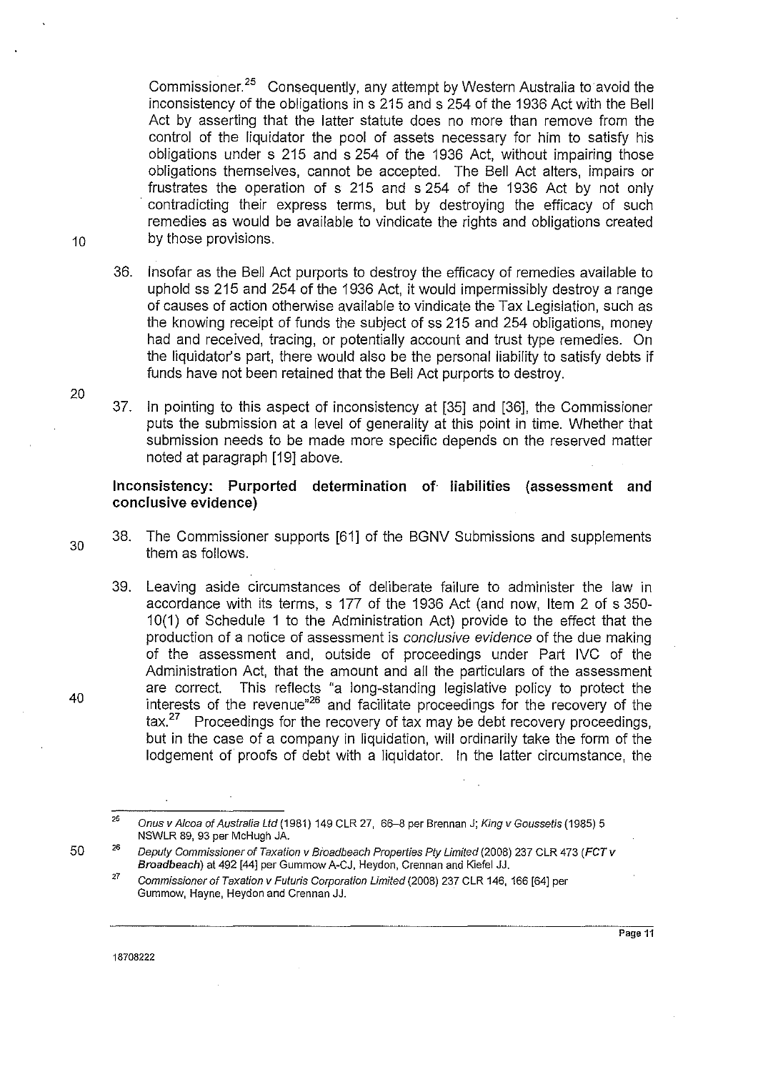Commissioner.<sup>25</sup> Consequently, any attempt by Western Australia to avoid the inconsistency of the obligations in s 215 and s 254 of the 1936 Act with the Bell Act by asserting that the latter statute does no more than remove from the control of the liquidator the pool of assets necessary for him to satisfy his obligations under s 215 and s 254 of the 1936 Act, without impairing those obligations themselves, cannot be accepted. The Bell Act alters, impairs or frustrates the operation of s 215 and s 254 of the 1936 Act by not only contradicting their express terms, but by destroying the efficacy of such remedies as would be available to vindicate the rights and obligations created 10 by those provisions.

- 36. Insofar as the Bell Act purports to destroy the efficacy of remedies available to uphold ss 215 and 254 of the 1936 Act, it would impermissibly destroy a range of causes of action otherwise available to vindicate the Tax Legislation, such as the knowing receipt of funds the subject of ss 215 and 254 obligations, money had and received, tracing, or potentially account and trust type remedies. On the liquidator's part, there would also be the personal liability to satisfy debts if funds have not been retained that the Bell Act purports to destroy.
- 37. In pointing to this aspect of inconsistency at [35] and [36], the Commissioner puts the submission at a level of generality at this point in time. Whether that submission needs to be made more specific depends on the reserved matter noted at paragraph [19] above.

**Inconsistency: Purported determination of liabilities (assessment and conclusive evidence)** 

- 38. The Commissioner supports [61] of the BGNV Submissions and supplements them as follows.
- 39. Leaving aside circumstances of deliberate failure to administer the law in accordance with its terms, s 177 of the 1936 Act (and now, Item 2 of s 350- 1 0(1) of Schedule 1 to the Administration Act) provide to the effect that the production of a notice of assessment is *conclusive evidence* of the due making of the assessment and, outside of proceedings under Part IVC of the Administration Act, that the amount and all the particulars of the assessment are correct. This reflects "a long-standing legislative policy to protect the interests of the revenue"26 and facilitate proceedings for the recovery of the tax.<sup>27</sup> Proceedings for the recovery of tax may be debt recovery proceedings, but in the case of a company in liquidation, will ordinarily take the form of the lodgement of proofs of debt with a liquidator. In the latter circumstance, the

20

30

40

50

<sup>25</sup>  Onus v Afcoa of Australia Ltd (1981) 149 CLR 27, 66-8 per Brennan J; King v Goussetis (1985) 5 NSWLR 89, 93 per McHu9h JA.

<sup>26</sup>  Deputy Commissioner of Taxation v Broadbeach Properties Pty Limited (2008) 237 CLR 473 (FCT v Broadbeach) at 492 [44] per Gummow A-CJ, Heydon, Crennan and Kiefel JJ.

<sup>27</sup>  Commissioner of Taxation v Futuris Corporation Limited (2008) 237 CLR 146, 166 [64] per **Gummow, Hayne, Heydon and Crennan JJ.**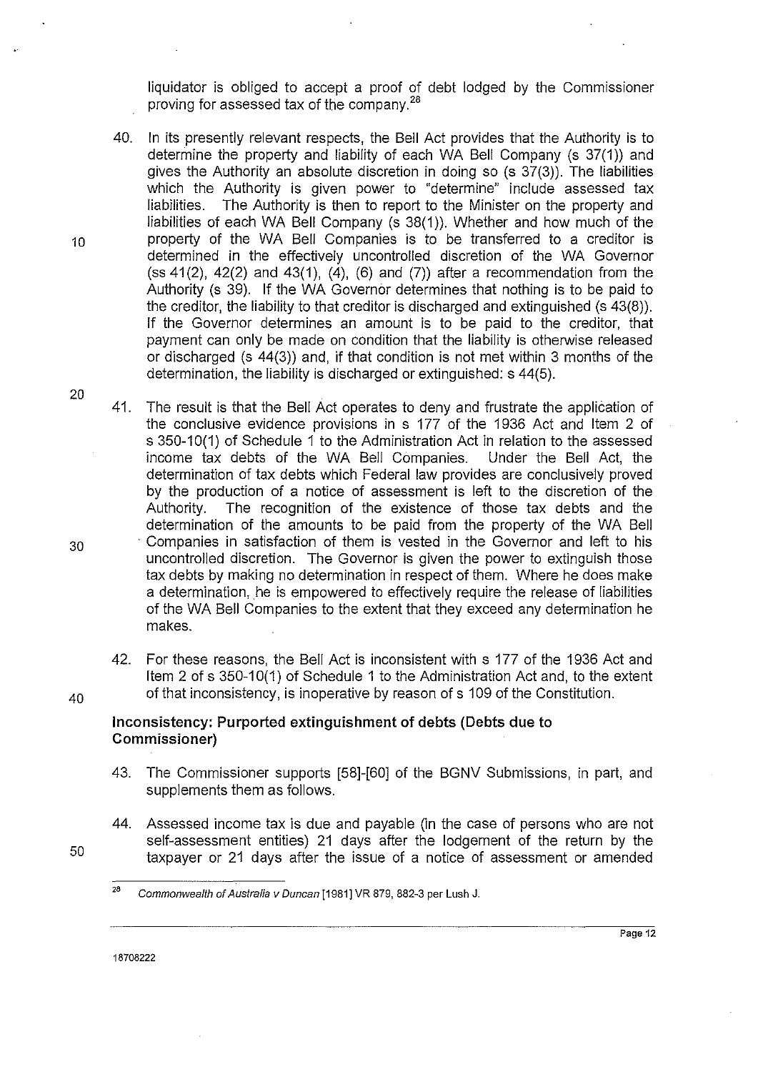liquidator is obliged to accept a proof of debt lodged by the Commissioner proving for assessed tax of the company. <sup>28</sup>

- 40. In its presently relevant respects, the Bell Act provides that the Authority is to determine the property and liability of each WA Bell Company (s 37(1)) and gives the Authority an absolute discretion in doing so (s 37(3)). The liabilities which the Authority is given power to "determine" include assessed tax<br>liabilities. The Authority is then to report to the Minister on the property and The Authority is then to report to the Minister on the property and liabilities of each WA Bell Company (s 38(1)). Whether and how much of the 10 property of the WA Bell Companies is to be transferred to a creditor is determined in the effectively uncontrolled discretion of the WA Governor (ss  $41(2)$ ,  $42(2)$  and  $43(1)$ ,  $(4)$ ,  $(6)$  and  $(7)$ ) after a recommendation from the Authority (s 39). If the WA Governor determines that nothing is to be paid to the creditor, the liability to that creditor is discharged and extinguished (s 43(8)). If the Governor determines an amount is to be paid to the creditor, that payment can only be made on condition that the liability is otherwise released or discharged (s 44(3)) and, if that condition is not met within 3 months of the determination, the liability is discharged or extinguished: s 44(5).
- 41. The result is that the Bell Act operates to deny and frustrate the application of the conclusive evidence provisions in s 177 of the 1936 Act and Item 2 of s 350-10(1) of Schedule 1 to the Administration Act in relation to the assessed income tax debts of the WA Bell Companies. Under the Bell Act, the determination of tax debts which Federal law provides are conclusively proved by the production of a notice of assessment is left to the discretion of the Authority. The recognition of the existence of those tax debts and the determination of the amounts to be paid from the property of the WA Bell 30 <sup>companies</sup> in satisfaction of them is vested in the Governor and left to his uncontrolled discretion. The Governor is given the power to extinguish those tax debts by making no determination in respect of thern. Where he does make a determination, he is empowered to effectively require the release of liabilities of the WA Bell Companies to the extent that they exceed any determination he makes.
- 42. For these reasons, the Bell Act is inconsistent with s 177 of the 1936 Act and Item 2 of s 350-10(1) of Schedule 1 to the Administration Act and, to the extent  $40$  of that inconsistency, is inoperative by reason of s 109 of the Constitution.

## **Inconsistency: Purported extinguishment of debts (Debts due to Commissioner)**

- 43. The Commissioner supports [58]-[60] of the BGNV Submissions, in part, and supplements them as follows.
- 44. Assessed income tax is due and payable (in the case of persons who are not self-assessment entities) 21 days after the lodgement of the return by the taxpayer or 21 days after the issue of a notice of assessment or amended

20

50

<sup>&</sup>lt;sup>28</sup> Commonwealth of Australia v Duncan [1981] VR 879, 882-3 per Lush J.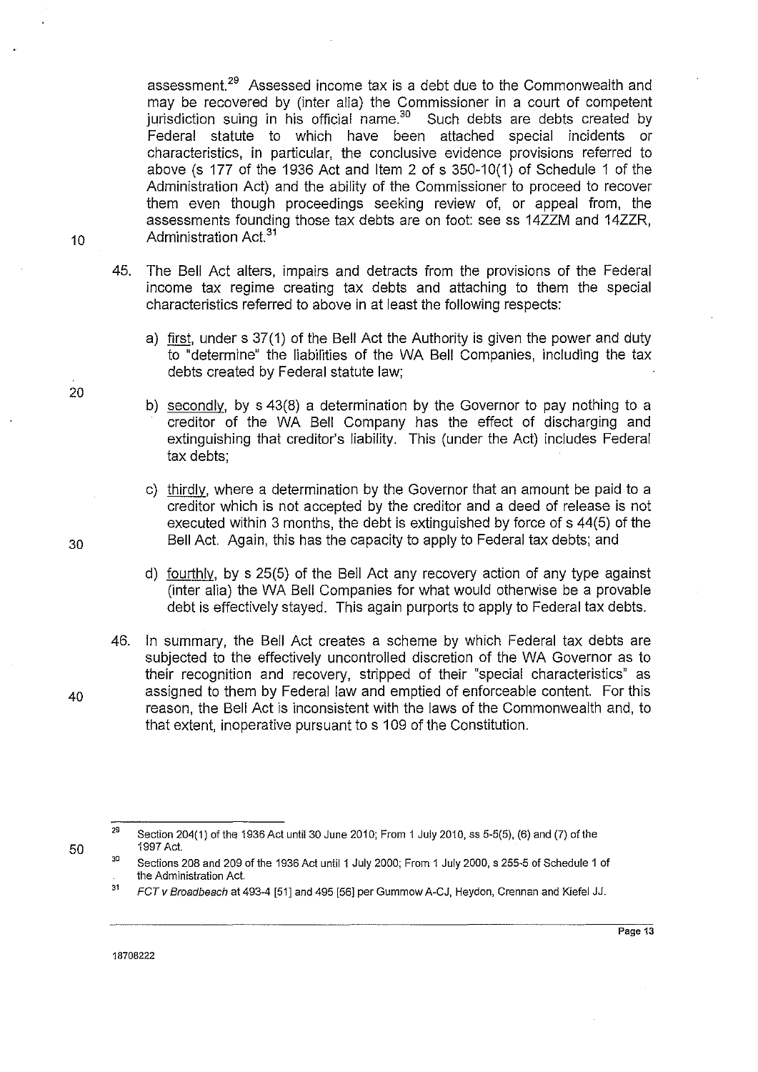assessment.29 Assessed income tax is a debt due to the Commonwealth and may be recovered by (inter alia) the Commissioner in a court of competent jurisdiction suing in his official name.<sup>30</sup> Such debts are debts created by Federal statute to which have been attached special incidents or characteristics, in particular, the conclusive evidence provisions referred to above (s 177 of the 1936 Act and Item 2 of s 350-10(1) of Schedule 1 of the Administration Act) and the ability of the Commissioner to proceed to recover them even though proceedings seeking review of, or appeal from, the assessments founding those tax debts are on foot: see ss 14ZZM and 14ZZR, Administration Act.<sup>31</sup>

- 45. The Bell Act alters, impairs and detracts from the provisions of the Federal income tax regime creating tax debts and attaching to them the special characteristics referred to above in at least the following respects:
	- a) first, under s 37(1) of the Bell Act the Authority is given the power and duty to "determine" the liabilities of the WA Bell Companies, including the tax debts created by Federal statute law;
	- b) secondly, by s 43(8) a determination by the Governor to pay nothing to a creditor of the WA Bell Company has the effect of discharging and extinguishing that creditor's liability. This (under the Act) includes Federal tax debts;
- c) thirdly, where a determination by the Governor that an amount be paid to a creditor which is not accepted by the creditor and a deed of release is not executed within 3 months, the debt is extinguished by force of s 44(5) of the 30 Bell Act. Again, this has the capacity to apply to Federal tax debts; and
	- d) fourthly, by s 25(5) of the Bell Act any recovery action of any type against (inter alia) the WA Bell Companies for what would otherwise be a provable debt is effectively stayed. This again purports to apply to Federal tax debts.
	- 46. In summary, the Bell Act creates a scheme by which Federal tax debts are subjected to the effectively uncontrolled discretion of the WA Governor as to their recognition and recovery, stripped of their "special characteristics" as assigned to them by Federal law and emptied of enforceable content. For this reason, the Bell Act is inconsistent with the laws of the Commonwealth and, to that extent, inoperative pursuant to s 109 of the Constitution.
	- 29 Section 204(1) of the 1936 Act until 30 June 2010; From 1 July 2010, ss 5-5(5), (6) and (7) of the 1997 Act.
	- 30 Sections 208 and 209 of the 1936 Act until 1 July 2000; From 1 July 2000, s 255-5 of Schedule 1 of the Administration Act.
	- 31 FCT v Broadbeach at 493-4 [51] and 495 [56] per Gummow A-CJ, Heydon, Crennan and Kiefel JJ.

18708222

20

10

40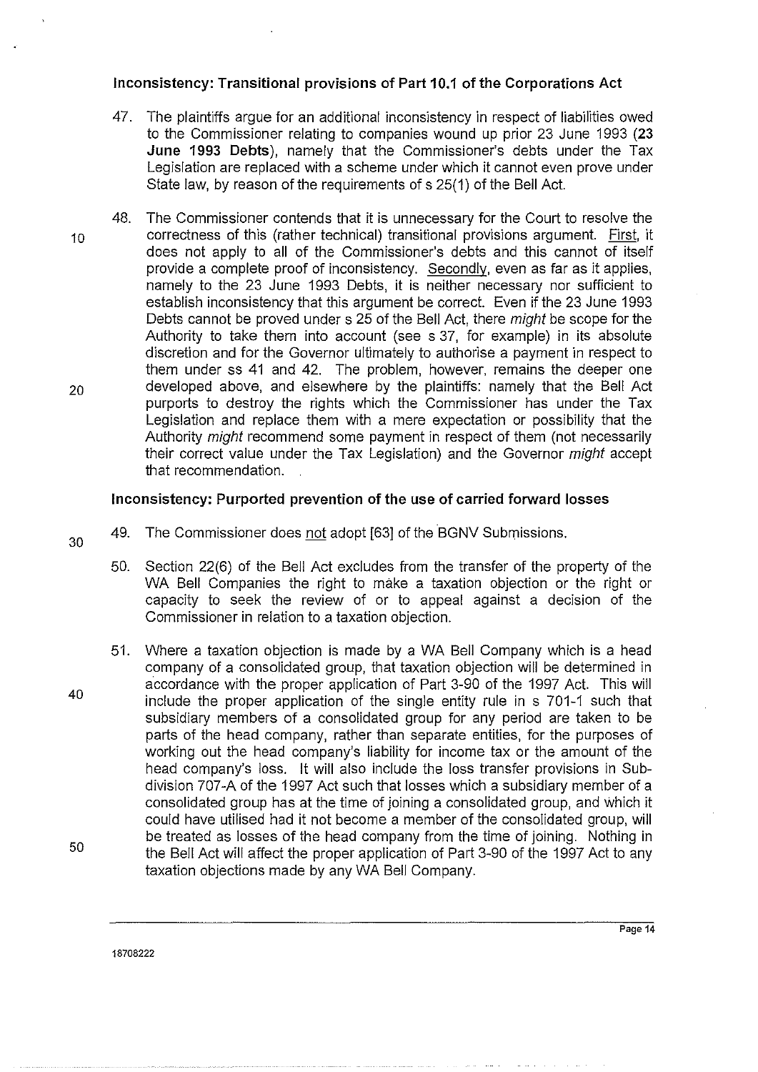# **Inconsistency: Transitional provisions of Part 10.1 of the Corporations Act**

- 47. The plaintiffs argue for an additional inconsistency in respect of liabilities owed to the Commissioner relating to companies wound up prior 23 June 1993 **(23 June 1993 Debts),** namely that the Commissioner's debts under the Tax Legislation are replaced with a scheme under which it cannot even prove under State law, by reason of the requirements of s 25(1) of the Bell Act.
- 48. The Commissioner contends that it is unnecessary for the Court to resolve the 10 correctness of this (rather technical) transitional provisions argument. First, it does not apply to all of the Commissioner's debts and this cannot of itself provide a complete proof of inconsistency. Secondly, even as far as it applies, namely to the 23 June 1993 Debts, it is neither necessary nor sufficient to establish inconsistency that this argument be correct. Even if the 23 June 1993 Debts cannot be proved under s 25 of the Bell Act, there might be scope for the Authority to take them into account (see s 37, for example) in its absolute discretion and for the Governor ultimately to authorise a payment in respect to them under ss 41 and 42. The problem, however, remains the deeper one 20 developed above, and elsewhere by the plaintiffs: namely that the Bell Act purports to destroy the rights which the Commissioner has under the Tax Legislation and replace them with a mere expectation or possibility that the Authority might recommend some payment in respect of them (not necessarily their correct value under the Tax Legislation) and the Governor might accept that recommendation.

#### **Inconsistency: Purported prevention of the use of carried forward losses**

- 49. The Commissioner does not adopt [63] of the BGNV Submissions.
	- 50. Section 22(6) of the Bell Act excludes from the transfer of the property of the WA Bell Companies the right to make a taxation objection or the right or capacity to seek the review of or to appeal against a decision of the Commissioner in relation to a taxation objection.
- 50 51. Where a taxation objection is made by a WA Bell Company which is a head company of a consolidated group, that taxation objection will be determined in accordance with the proper application of Part 3-90 of the 1997 Act. This will include the proper application of the single entity rule in s 701-1 such that subsidiary members of a consolidated group for any period are taken to be parts of the head company, rather than separate entities, for the purposes of working out the head company's liability for income tax or the amount of the head company's loss. lt will also include the loss transfer provisions in Subdivision 707 -A of the 1997 Act such that losses which a subsidiary member of a consolidated group has at the time of joining a consolidated group, and which it could have utilised had it not become a member of the consolidated group, will be treated as losses of the head company from the time of joining. Nothing in the Bell Act will affect the proper application of Part 3-90 of the 1997 Act to any taxation objections made by any WA Bell Company.

40

30

18708222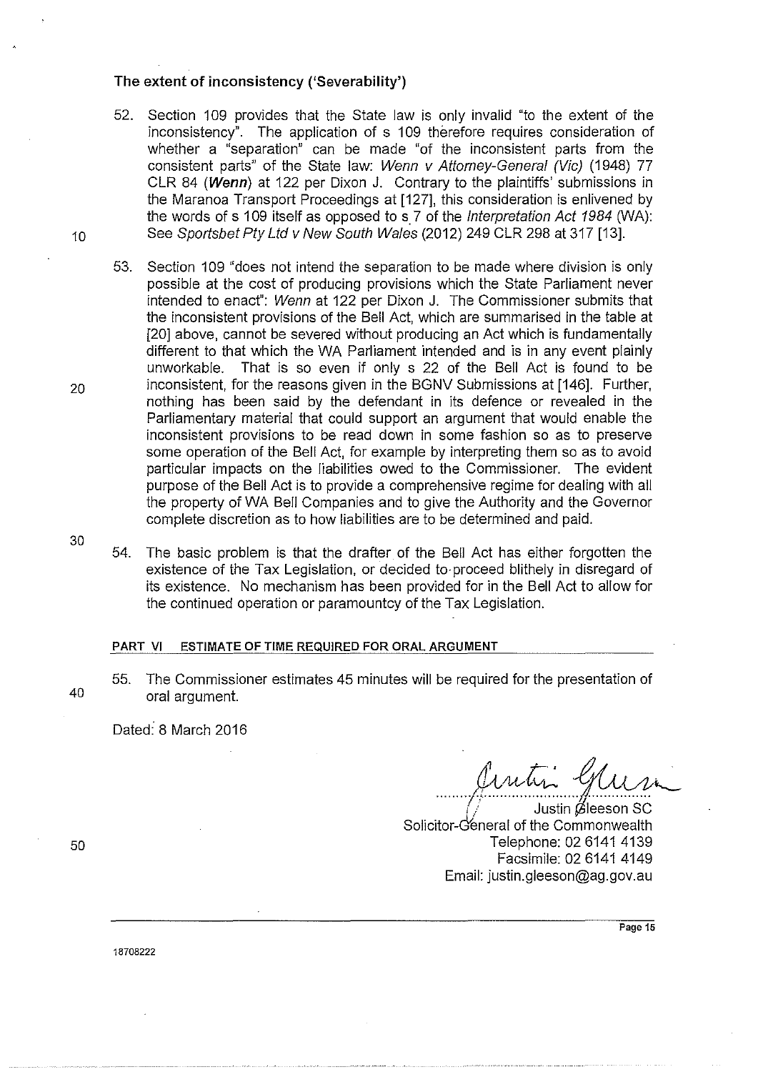#### The extent of inconsistency ('Severability')

- 52. Section 109 provides that the State law is only invalid "to the extent of the inconsistency". The application of s 109 therefore requires consideration of whether a "separation" can be made "of the inconsistent parts from the consistent parts" of the State Jaw: Wenn v Attorney-General (Vic) (1948) 77 CLR 84 (Wenn) at 122 per Dixon J. Contrary to the plaintiffs' submissions in the Maranoa Transport Proceedings at [127], this consideration is enlivened by the words of  $s$  109 itself as opposed to  $s$  7 of the Interpretation Act 1984 (WA): 10 See Sportsbet Pty Ltd v New South Wales (2012) 249 CLR 298 at 317 [13].
- 53. Section 109 "does not intend the separation to be made where division is only possible at the cost of producing provisions which the State Parliament never intended to enact": Wenn at 122 per Dixon J. The Commissioner submits that the inconsistent provisions of the Bell Act, which are summarised in the table at [20] above, cannot be severed without producing an Act which is fundamentally different to that which the WA Parliament intended and is in any event plainly unworkable. That is so even if only s 22 of the Bell Act is found to be 20 inconsistent, for the reasons given in the BGNV Submissions at [146]. Further, nothing has been said by the defendant in its defence or revealed in the Parliamentary material that could support an argument that would enable the inconsistent provisions to be read down in some fashion so as to preserve some operation of the Bell Act, for example by interpreting them so as to avoid particular impacts on the liabilities owed to the Commissioner. The evident purpose of the Bell Act is to provide a comprehensive regime for dealing with all the property of WA Bell Companies and to give the Authority and the Governor complete discretion as to how liabilities are to be determined and paid.
	- 54. The basic problem is that the drafter of the Bell Act has either forgotten the existence of the Tax Legislation, or decided to. proceed blithely in disregard of its existence. No mechanism has been provided for in the Bell Act to allow for the continued operation or paramountcy of the Tax Legislation.

## PART VI ESTIMATE OF TIME REQUIRED FOR ORAL ARGUMENT

55. The Commissioner estimates 45 minutes will be required for the presentation of 40 oral argument.

Dated: 8 March 2016

*Juntin Gun* 

Solicitor-G'eneral of the Commonwealth Telephone: 02 6141 4139 Facsimile: 02 6141 4149 Email: justin.gleeson@ag.gov.au

50

**Page 15** 

18708222